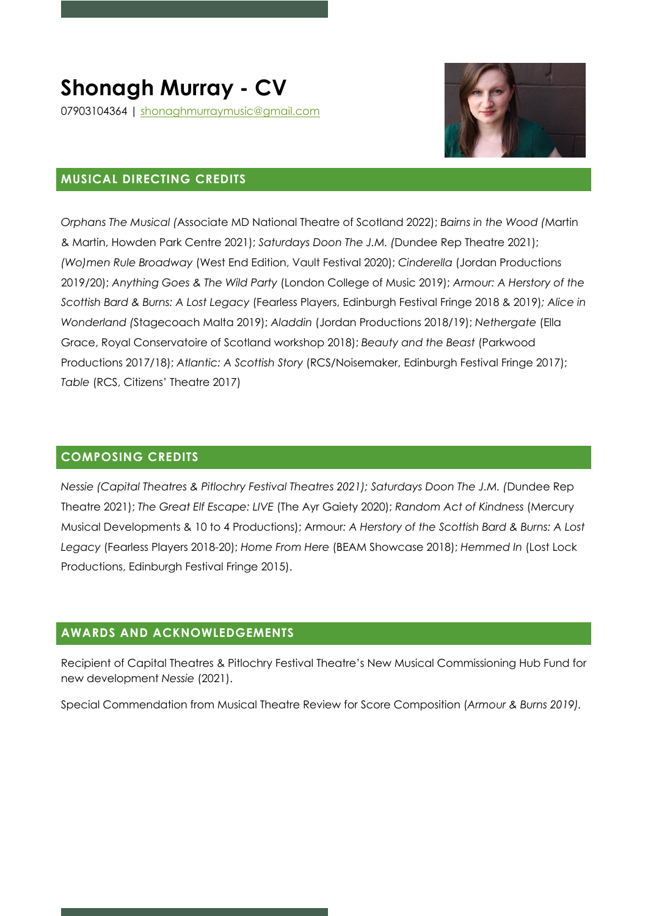

### **MUSICAL DIRECTING CREDITS**

*Orphans The Musical (*Associate MD National Theatre of Scotland 2022); *Bairns in the Wood (*Martin & Martin, Howden Park Centre 2021); *Saturdays Doon The J.M. (*Dundee Rep Theatre 2021); *(Wo)men Rule Broadway* (West End Edition, Vault Festival 2020); *Cinderella* (Jordan Productions 2019/20); *Anything Goes & The Wild Party* (London College of Music 2019); *Armour: A Herstory of the Scottish Bard & Burns: A Lost Legacy* (Fearless Players, Edinburgh Festival Fringe 2018 & 2019)*; Alice in Wonderland (*Stagecoach Malta 2019); *Aladdin* (Jordan Productions 2018/19); *Nethergate* (Ella Grace, Royal Conservatoire of Scotland workshop 2018); *Beauty and the Beast* (Parkwood Productions 2017/18); *Atlantic: A Scottish Story* (RCS/Noisemaker, Edinburgh Festival Fringe 2017); *Table* (RCS, Citizens' Theatre 2017)

#### **COMPOSING CREDITS**

*Nessie (Capital Theatres & Pitlochry Festival Theatres 2021); Saturdays Doon The J.M. (*Dundee Rep Theatre 2021); *The Great Elf Escape: LIVE* (The Ayr Gaiety 2020); *Random Act of Kindness* (Mercury Musical Developments & 10 to 4 Productions); Armour*: A Herstory of the Scottish Bard & Burns: A Lost Legacy* (Fearless Players 2018-20); *Home From Here* (BEAM Showcase 2018); *Hemmed In* (Lost Lock Productions, Edinburgh Festival Fringe 2015).

### **AWARDS AND ACKNOWLEDGEMENTS**

Recipient of Capital Theatres & Pitlochry Festival Theatre's New Musical Commissioning Hub Fund for new development *Nessie* (2021).

Special Commendation from Musical Theatre Review for Score Composition (*Armour & Burns 2019).*